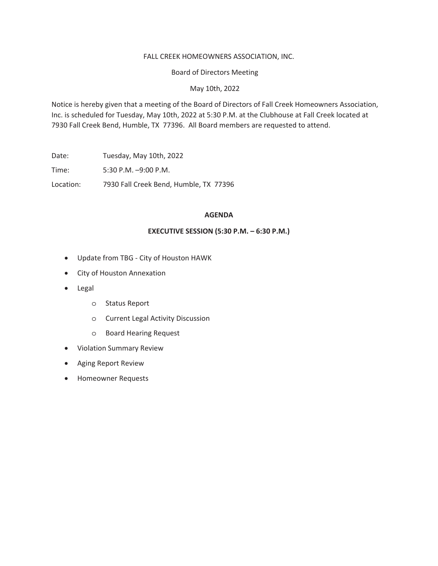# FALL CREEK HOMEOWNERS ASSOCIATION, INC.

**Board of Directors Meeting** 

May 10th, 2022

Notice is hereby given that a meeting of the Board of Directors of Fall Creek Homeowners Association, Inc. is scheduled for Tuesday, May 10th, 2022 at 5:30 P.M. at the Clubhouse at Fall Creek located at 7930 Fall Creek Bend, Humble, TX 77396. All Board members are requested to attend.

Date: Tuesday, May 10th, 2022

5:30 P.M. -9:00 P.M. Time:

Location: 7930 Fall Creek Bend, Humble, TX 77396

# **AGENDA**

# **EXECUTIVE SESSION (5:30 P.M. - 6:30 P.M.)**

- Update from TBG City of Houston HAWK
- City of Houston Annexation
- Legal
	- o Status Report
	- o Current Legal Activity Discussion
	- **Board Hearing Request**  $\circ$
- Violation Summary Review
- Aging Report Review
- Homeowner Requests